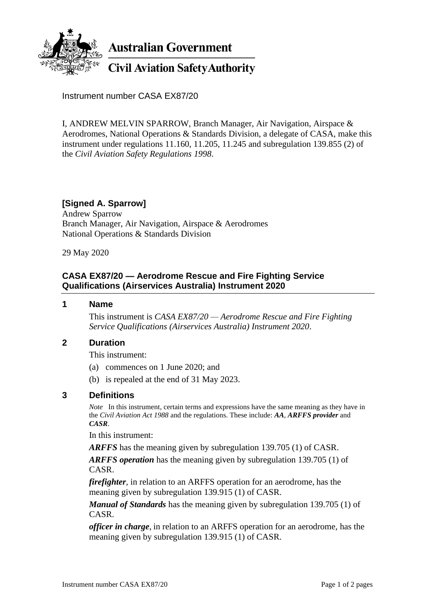

**Australian Government** 

# **Civil Aviation Safety Authority**

Instrument number CASA EX87/20

I, ANDREW MELVIN SPARROW, Branch Manager, Air Navigation, Airspace & Aerodromes, National Operations & Standards Division, a delegate of CASA, make this instrument under regulations 11.160, 11.205, 11.245 and subregulation 139.855 (2) of the *Civil Aviation Safety Regulations 1998*.

## **[Signed A. Sparrow]**

Andrew Sparrow Branch Manager, Air Navigation, Airspace & Aerodromes National Operations & Standards Division

29 May 2020

## **CASA EX87/20 — Aerodrome Rescue and Fire Fighting Service Qualifications (Airservices Australia) Instrument 2020**

#### **1 Name**

This instrument is *CASA EX87/20 — Aerodrome Rescue and Fire Fighting Service Qualifications (Airservices Australia) Instrument 2020*.

#### **2 Duration**

This instrument:

- (a) commences on 1 June 2020; and
- (b) is repealed at the end of 31 May 2023.

#### **3 Definitions**

*Note* In this instrument, certain terms and expressions have the same meaning as they have in the *Civil Aviation Act 1988* and the regulations. These include: *AA*, *ARFFS provider* and *CASR*.

In this instrument:

*ARFFS* has the meaning given by subregulation 139.705 (1) of CASR.

*ARFFS operation* has the meaning given by subregulation 139.705 (1) of CASR.

*firefighter*, in relation to an ARFFS operation for an aerodrome, has the meaning given by subregulation 139.915 (1) of CASR.

*Manual of Standards* has the meaning given by subregulation 139.705 (1) of CASR.

*officer in charge*, in relation to an ARFFS operation for an aerodrome, has the meaning given by subregulation 139.915 (1) of CASR.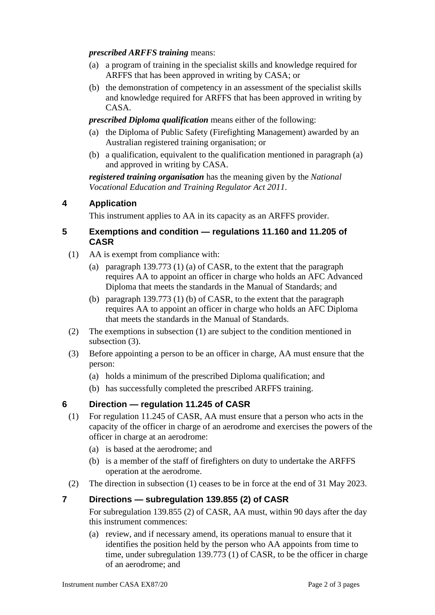#### *prescribed ARFFS training* means:

- (a) a program of training in the specialist skills and knowledge required for ARFFS that has been approved in writing by CASA; or
- (b) the demonstration of competency in an assessment of the specialist skills and knowledge required for ARFFS that has been approved in writing by CASA.

*prescribed Diploma qualification* means either of the following:

- (a) the Diploma of Public Safety (Firefighting Management) awarded by an Australian registered training organisation; or
- (b) a qualification, equivalent to the qualification mentioned in paragraph (a) and approved in writing by CASA.

*registered training organisation* has the meaning given by the *National Vocational Education and Training Regulator Act 2011*.

# **4 Application**

This instrument applies to AA in its capacity as an ARFFS provider.

#### **5 Exemptions and condition — regulations 11.160 and 11.205 of CASR**

- (1) AA is exempt from compliance with:
	- (a) paragraph 139.773 (1) (a) of CASR, to the extent that the paragraph requires AA to appoint an officer in charge who holds an AFC Advanced Diploma that meets the standards in the Manual of Standards; and
	- (b) paragraph 139.773 (1) (b) of CASR, to the extent that the paragraph requires AA to appoint an officer in charge who holds an AFC Diploma that meets the standards in the Manual of Standards.
- (2) The exemptions in subsection (1) are subject to the condition mentioned in subsection (3).
- (3) Before appointing a person to be an officer in charge, AA must ensure that the person:
	- (a) holds a minimum of the prescribed Diploma qualification; and
	- (b) has successfully completed the prescribed ARFFS training.

# **6 Direction — regulation 11.245 of CASR**

- (1) For regulation 11.245 of CASR, AA must ensure that a person who acts in the capacity of the officer in charge of an aerodrome and exercises the powers of the officer in charge at an aerodrome:
	- (a) is based at the aerodrome; and
	- (b) is a member of the staff of firefighters on duty to undertake the ARFFS operation at the aerodrome.
- (2) The direction in subsection (1) ceases to be in force at the end of 31 May 2023.

## **7 Directions — subregulation 139.855 (2) of CASR**

For subregulation 139.855 (2) of CASR, AA must, within 90 days after the day this instrument commences:

(a) review, and if necessary amend, its operations manual to ensure that it identifies the position held by the person who AA appoints from time to time, under subregulation 139.773 (1) of CASR, to be the officer in charge of an aerodrome; and